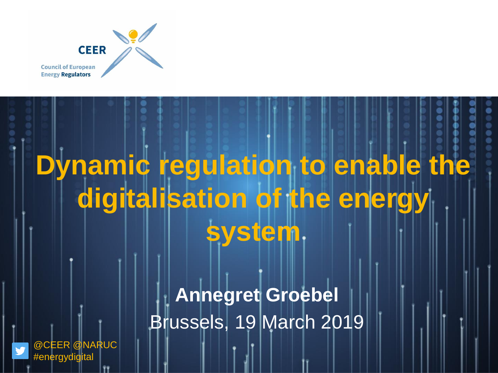

# **Dynamic regulation to enable the digitalisation of the energy system**

**Annegret Groebel** Brussels, 19 March 2019

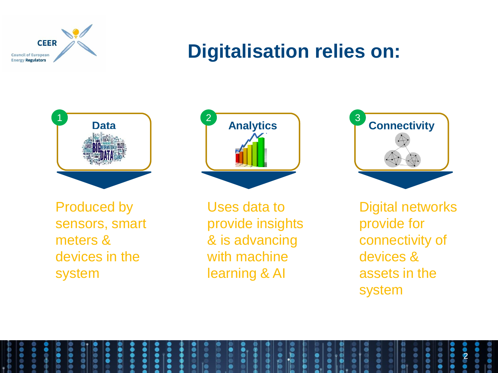

# **Digitalisation relies on:**



Produced by sensors, smart meters & devices in the system



Uses data to provide insights & is advancing with machine learning & AI



Digital networks provide for connectivity of devices & assets in the system

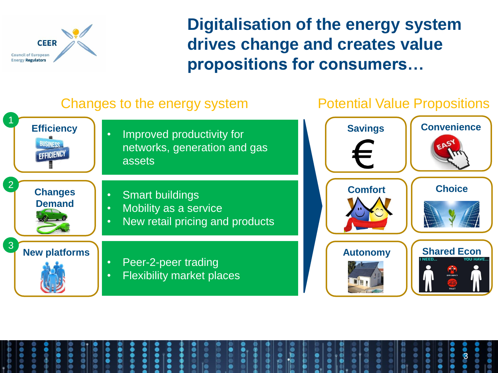

**Digitalisation of the energy system drives change and creates value propositions for consumers…**

### Changes to the energy system **Potential Value Propositions**

1 **Convenience Efficiency Savings** • Improved productivity for **BUSINESS** networks, generation and gas EFFICIENCY assets 2 **Choice Comfort Changes**  • Smart buildings **Demand** • Mobility as a service • New retail pricing and products 3 **Shared Econ New platforms Autonomy** • Peer-2-peer trading • Flexibility market places

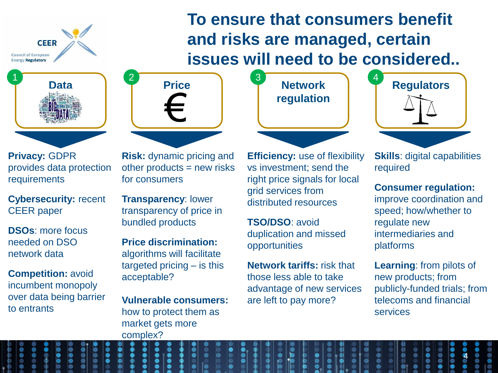**CEER Council of European Energy Regulators** 



**Privacy:** GDPR provides data protection requirements

**Cybersecurity:** recent CEER paper

**DSOs**: more focus needed on DSO network data

**Competition:** avoid incumbent monopoly over data being barrier to entrants

**Risk:** dynamic pricing and other products  $=$  new risks for consumers

**Transparency**: lower transparency of price in bundled products

**Price discrimination:**  algorithms will facilitate targeted pricing – is this acceptable?

**Vulnerable consumers:**  how to protect them as market gets more complex?

**regulation**

**To ensure that consumers benefit** 

**and risks are managed, certain** 



**Skills**: digital capabilities required

**Consumer regulation:**  improve coordination and speed; how/whether to regulate new intermediaries and platforms

**Learning**: from pilots of new products; from publicly-funded trials; from telecoms and financial services

4

**Efficiency:** use of flexibility vs investment; send the right price signals for local grid services from distributed resources

**TSO/DSO**: avoid duplication and missed opportunities

**Network tariffs:** risk that those less able to take advantage of new services are left to pay more?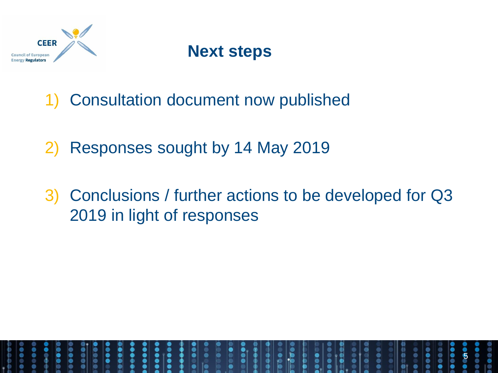

## **Next steps**

- 1) Consultation document now published
- 2) Responses sought by 14 May 2019
- 3) Conclusions / further actions to be developed for Q3 2019 in light of responses